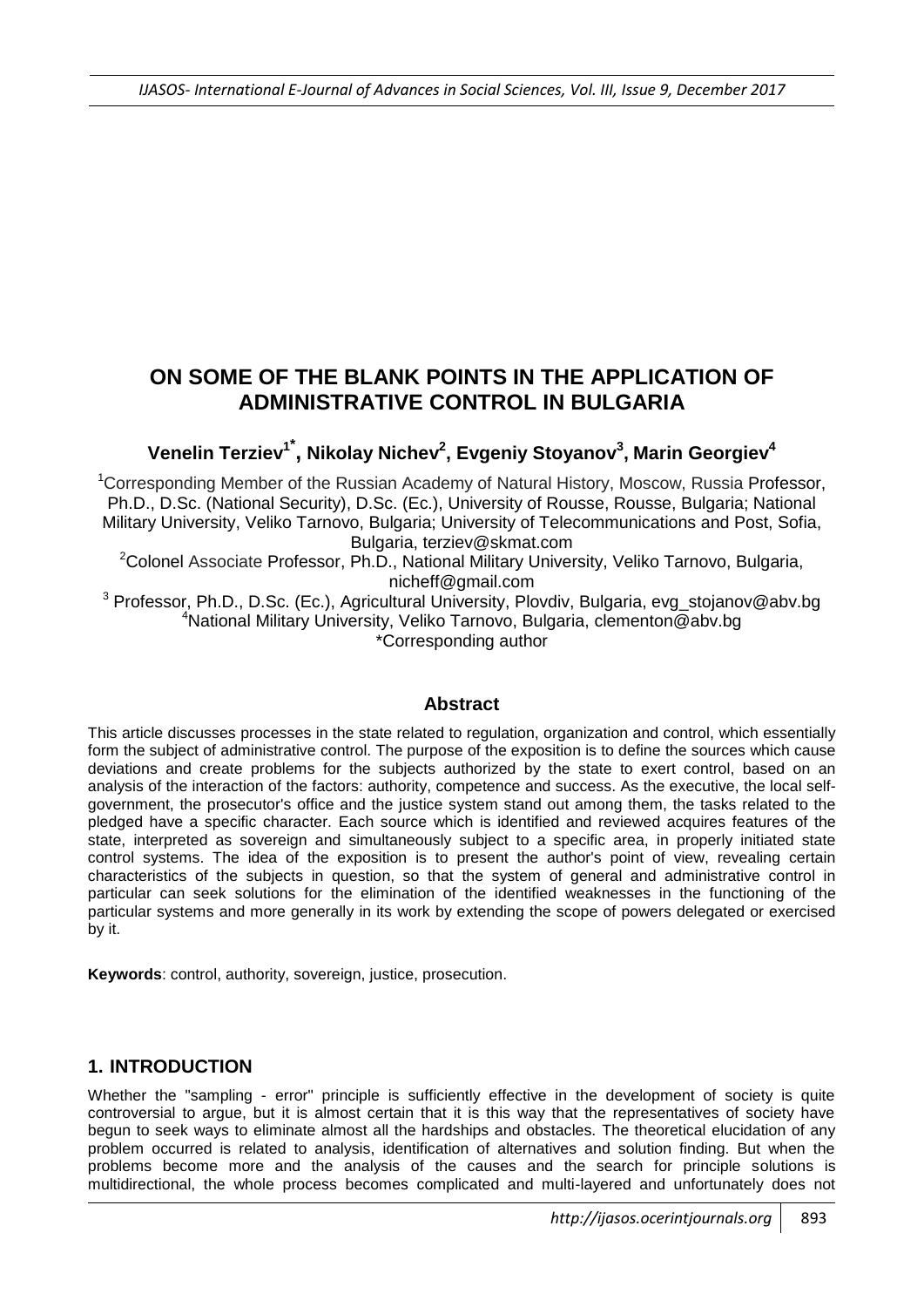## **ON SOME OF THE BLANK POINTS IN THE APPLICATION OF ADMINISTRATIVE CONTROL IN BULGARIA**

# **Venelin Terziev<sup>1</sup>\* , Nikolay Nichev<sup>2</sup> , Evgeniy Stoyanov<sup>3</sup> , Marin Georgiev<sup>4</sup>**

<sup>1</sup>Corresponding Member of the Russian Academy of Natural History, Moscow, Russia Professor, Ph.D., D.Sc. (National Security), D.Sc. (Ec.), University of Rousse, Rousse, Bulgaria; National Military University, Veliko Tarnovo, Bulgaria; University of Telecommunications and Post, Sofia, Bulgaria, [terziev@skmat.com](mailto:terziev@skmat.com)

<sup>2</sup>Colonel Associate Professor, Ph.D., National Military University, Veliko Tarnovo, Bulgaria, [nicheff@gmail.com](mailto:nicheff@gmail.com)

<sup>3</sup> Professor, Ph.D., D.Sc. (Ec.), Agricultural University, Plovdiv, Bulgaria, [evg\\_stojanov@abv.bg](mailto:evg_stojanov@abv.bg) <sup>4</sup>National Military University, Veliko Tarnovo, Bulgaria, [clementon@abv.bg](mailto:clementon@abv.bg) \*Corresponding author

### **Abstract**

This article discusses processes in the state related to regulation, organization and control, which essentially form the subject of administrative control. The purpose of the exposition is to define the sources which cause deviations and create problems for the subjects authorized by the state to exert control, based on an analysis of the interaction of the factors: authority, competence and success. As the executive, the local selfgovernment, the prosecutor's office and the justice system stand out among them, the tasks related to the pledged have a specific character. Each source which is identified and reviewed acquires features of the state, interpreted as sovereign and simultaneously subject to a specific area, in properly initiated state control systems. The idea of the exposition is to present the author's point of view, revealing certain characteristics of the subjects in question, so that the system of general and administrative control in particular can seek solutions for the elimination of the identified weaknesses in the functioning of the particular systems and more generally in its work by extending the scope of powers delegated or exercised by it.

**Keywords**: control, authority, sovereign, justice, prosecution.

### **1. INTRODUCTION**

Whether the "sampling - error" principle is sufficiently effective in the development of society is quite controversial to argue, but it is almost certain that it is this way that the representatives of society have begun to seek ways to eliminate almost all the hardships and obstacles. The theoretical elucidation of any problem occurred is related to analysis, identification of alternatives and solution finding. But when the problems become more and the analysis of the causes and the search for principle solutions is multidirectional, the whole process becomes complicated and multi-layered and unfortunately does not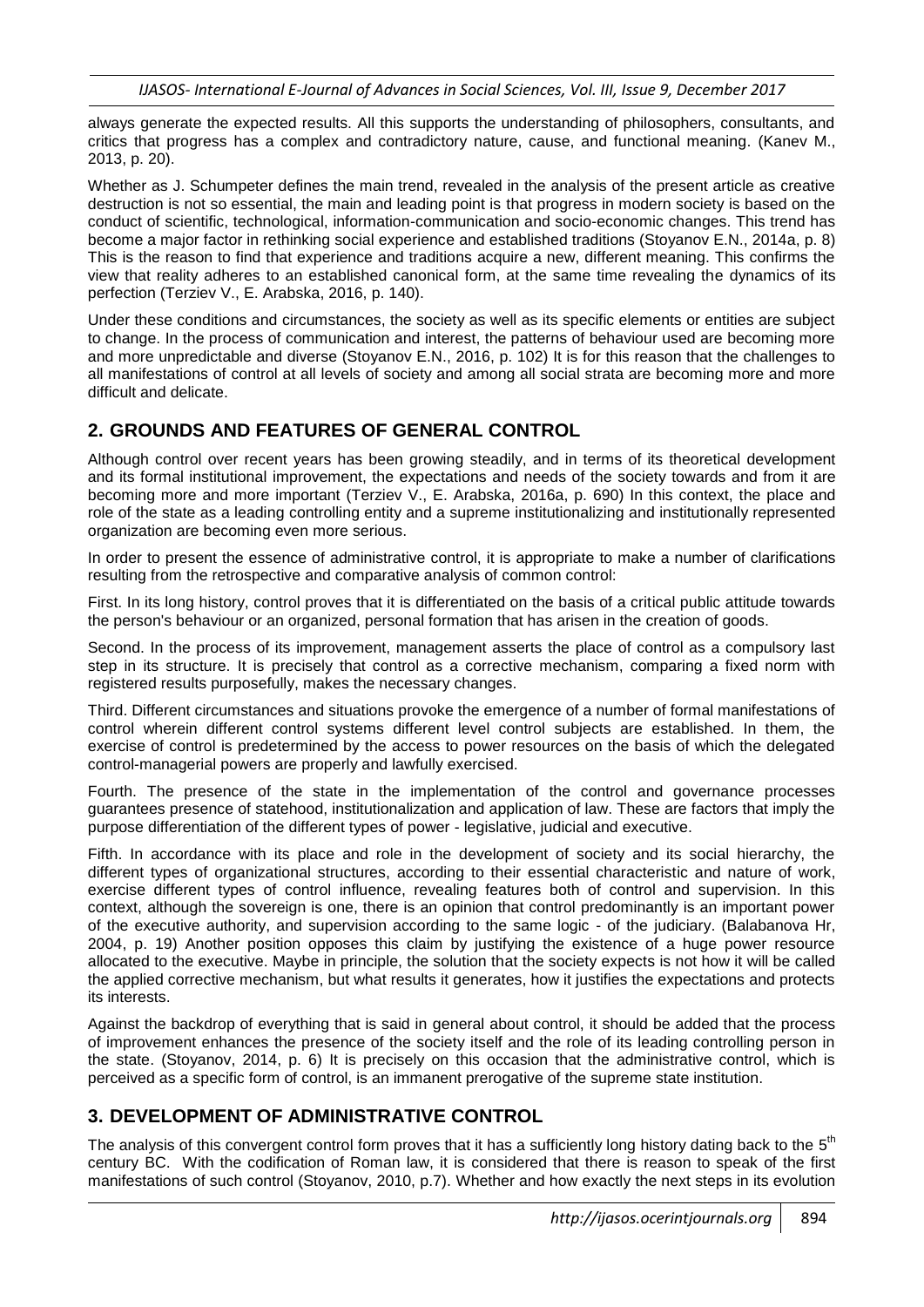always generate the expected results. All this supports the understanding of philosophers, consultants, and critics that progress has a complex and contradictory nature, cause, and functional meaning. (Kanev M., 2013, p. 20).

Whether as J. Schumpeter defines the main trend, revealed in the analysis of the present article as creative destruction is not so essential, the main and leading point is that progress in modern society is based on the conduct of scientific, technological, information-communication and socio-economic changes. This trend has become a major factor in rethinking social experience and established traditions (Stoyanov E.N., 2014a, p. 8) This is the reason to find that experience and traditions acquire a new, different meaning. This confirms the view that reality adheres to an established canonical form, at the same time revealing the dynamics of its perfection (Terziev V., E. Arabska, 2016, p. 140).

Under these conditions and circumstances, the society as well as its specific elements or entities are subject to change. In the process of communication and interest, the patterns of behaviour used are becoming more and more unpredictable and diverse (Stoyanov E.N., 2016, p. 102) It is for this reason that the challenges to all manifestations of control at all levels of society and among all social strata are becoming more and more difficult and delicate.

### **2. GROUNDS AND FEATURES OF GENERAL CONTROL**

Although control over recent years has been growing steadily, and in terms of its theoretical development and its formal institutional improvement, the expectations and needs of the society towards and from it are becoming more and more important (Terziev V., E. Arabska, 2016a, p. 690) In this context, the place and role of the state as a leading controlling entity and a supreme institutionalizing and institutionally represented organization are becoming even more serious.

In order to present the essence of administrative control, it is appropriate to make a number of clarifications resulting from the retrospective and comparative analysis of common control:

First. In its long history, control proves that it is differentiated on the basis of a critical public attitude towards the person's behaviour or an organized, personal formation that has arisen in the creation of goods.

Second. In the process of its improvement, management asserts the place of control as a compulsory last step in its structure. It is precisely that control as a corrective mechanism, comparing a fixed norm with registered results purposefully, makes the necessary changes.

Third. Different circumstances and situations provoke the emergence of a number of formal manifestations of control wherein different control systems different level control subjects are established. In them, the exercise of control is predetermined by the access to power resources on the basis of which the delegated control-managerial powers are properly and lawfully exercised.

Fourth. The presence of the state in the implementation of the control and governance processes guarantees presence of statehood, institutionalization and application of law. These are factors that imply the purpose differentiation of the different types of power - legislative, judicial and executive.

Fifth. In accordance with its place and role in the development of society and its social hierarchy, the different types of organizational structures, according to their essential characteristic and nature of work, exercise different types of control influence, revealing features both of control and supervision. In this context, although the sovereign is one, there is an opinion that control predominantly is an important power of the executive authority, and supervision according to the same logic - of the judiciary. (Balabanova Hr, 2004, p. 19) Another position opposes this claim by justifying the existence of a huge power resource allocated to the executive. Maybe in principle, the solution that the society expects is not how it will be called the applied corrective mechanism, but what results it generates, how it justifies the expectations and protects its interests.

Against the backdrop of everything that is said in general about control, it should be added that the process of improvement enhances the presence of the society itself and the role of its leading controlling person in the state. (Stoyanov, 2014, p. 6) It is precisely on this occasion that the administrative control, which is perceived as a specific form of control, is an immanent prerogative of the supreme state institution.

## **3. DEVELOPMENT OF ADMINISTRATIVE CONTROL**

The analysis of this convergent control form proves that it has a sufficiently long history dating back to the  $5<sup>th</sup>$ century BC. With the codification of Roman law, it is considered that there is reason to speak of the first manifestations of such control (Stoyanov, 2010, p.7). Whether and how exactly the next steps in its evolution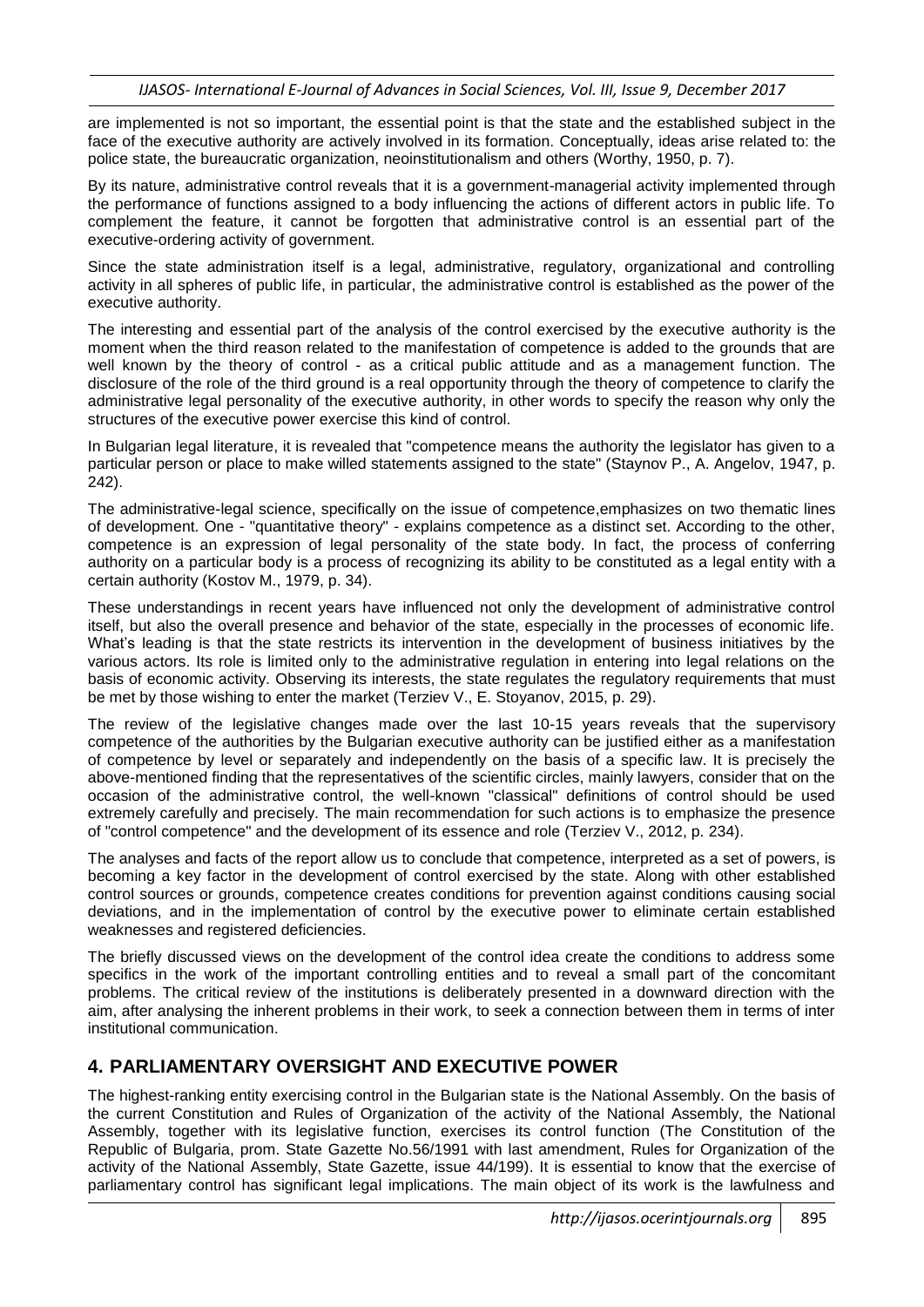are implemented is not so important, the essential point is that the state and the established subject in the face of the executive authority are actively involved in its formation. Conceptually, ideas arise related to: the police state, the bureaucratic organization, neoinstitutionalism and others (Worthy, 1950, p. 7).

By its nature, administrative control reveals that it is a government-managerial activity implemented through the performance of functions assigned to a body influencing the actions of different actors in public life. To complement the feature, it cannot be forgotten that administrative control is an essential part of the executive-ordering activity of government.

Since the state administration itself is a legal, administrative, regulatory, organizational and controlling activity in all spheres of public life, in particular, the administrative control is established as the power of the executive authority.

The interesting and essential part of the analysis of the control exercised by the executive authority is the moment when the third reason related to the manifestation of competence is added to the grounds that are well known by the theory of control - as a critical public attitude and as a management function. The disclosure of the role of the third ground is a real opportunity through the theory of competence to clarify the administrative legal personality of the executive authority, in other words to specify the reason why only the structures of the executive power exercise this kind of control.

In Bulgarian legal literature, it is revealed that "competence means the authority the legislator has given to a particular person or place to make willed statements assigned to the state" (Staynov P., A. Angelov, 1947, p. 242).

The administrative-legal science, specifically on the issue of competence,emphasizes on two thematic lines of development. One - "quantitative theory" - explains competence as a distinct set. According to the other, competence is an expression of legal personality of the state body. In fact, the process of conferring authority on a particular body is a process of recognizing its ability to be constituted as a legal entity with a certain authority (Kostov M., 1979, p. 34).

These understandings in recent years have influenced not only the development of administrative control itself, but also the overall presence and behavior of the state, especially in the processes of economic life. What's leading is that the state restricts its intervention in the development of business initiatives by the various actors. Its role is limited only to the administrative regulation in entering into legal relations on the basis of economic activity. Observing its interests, the state regulates the regulatory requirements that must be met by those wishing to enter the market (Terziev V., E. Stoyanov, 2015, p. 29).

The review of the legislative changes made over the last 10-15 years reveals that the supervisory competence of the authorities by the Bulgarian executive authority can be justified either as a manifestation of competence by level or separately and independently on the basis of a specific law. It is precisely the above-mentioned finding that the representatives of the scientific circles, mainly lawyers, consider that on the occasion of the administrative control, the well-known "classical" definitions of control should be used extremely carefully and precisely. The main recommendation for such actions is to emphasize the presence of "control competence" and the development of its essence and role (Terziev V., 2012, p. 234).

The analyses and facts of the report allow us to conclude that competence, interpreted as a set of powers, is becoming a key factor in the development of control exercised by the state. Along with other established control sources or grounds, competence creates conditions for prevention against conditions causing social deviations, and in the implementation of control by the executive power to eliminate certain established weaknesses and registered deficiencies.

The briefly discussed views on the development of the control idea create the conditions to address some specifics in the work of the important controlling entities and to reveal a small part of the concomitant problems. The critical review of the institutions is deliberately presented in a downward direction with the aim, after analysing the inherent problems in their work, to seek a connection between them in terms of inter institutional communication.

### **4. PARLIAMENTARY OVERSIGHT AND EXECUTIVE POWER**

The highest-ranking entity exercising control in the Bulgarian state is the National Assembly. On the basis of the current Constitution and Rules of Organization of the activity of the National Assembly, the National Assembly, together with its legislative function, exercises its control function (The Constitution of the Republic of Bulgaria, prom. State Gazette No.56/1991 with last amendment, Rules for Organization of the activity of the National Assembly, State Gazette, issue 44/199). It is essential to know that the exercise of parliamentary control has significant legal implications. The main object of its work is the lawfulness and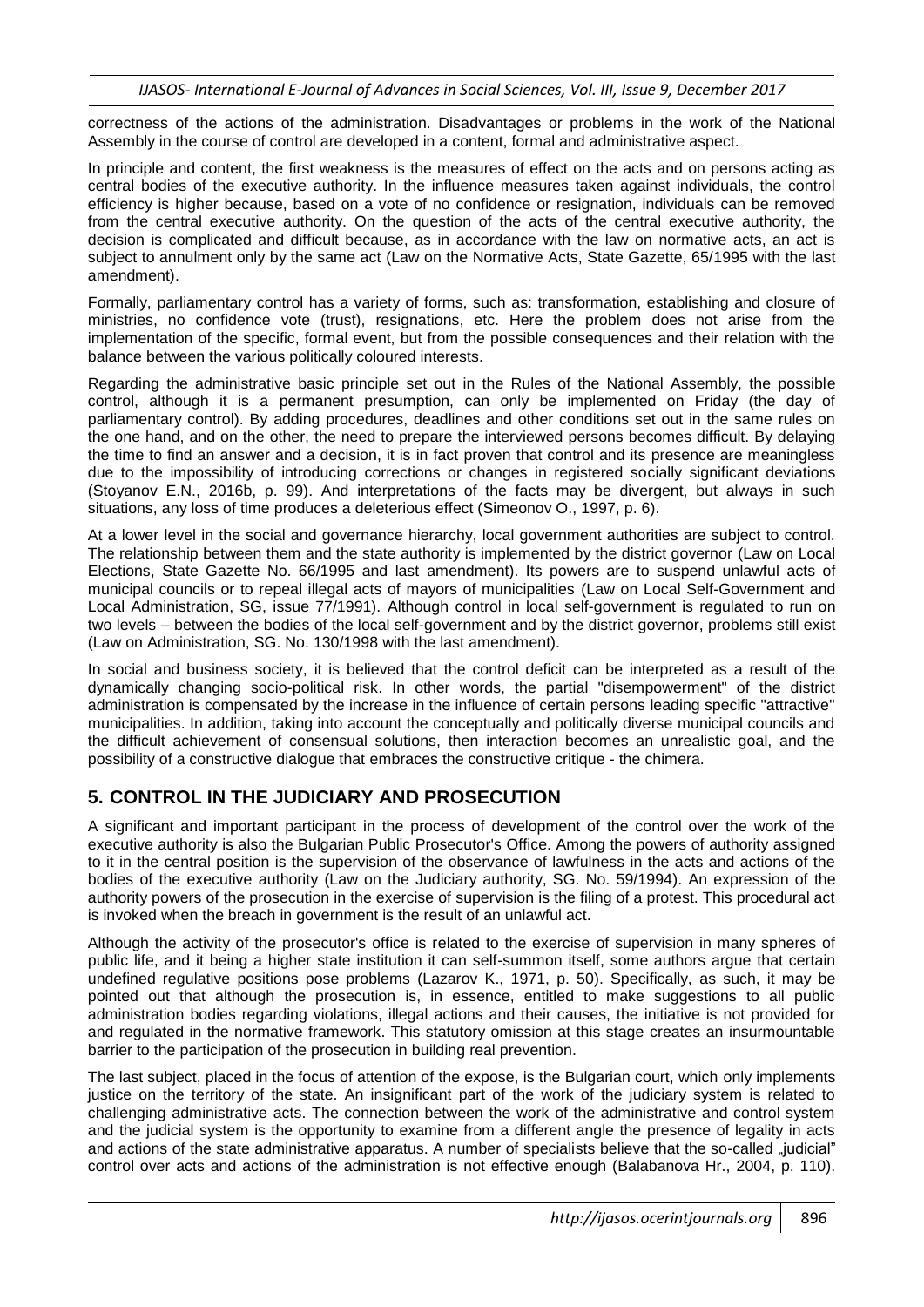correctness of the actions of the administration. Disadvantages or problems in the work of the National Assembly in the course of control are developed in a content, formal and administrative aspect.

In principle and content, the first weakness is the measures of effect on the acts and on persons acting as central bodies of the executive authority. In the influence measures taken against individuals, the control efficiency is higher because, based on a vote of no confidence or resignation, individuals can be removed from the central executive authority. On the question of the acts of the central executive authority, the decision is complicated and difficult because, as in accordance with the law on normative acts, an act is subject to annulment only by the same act (Law on the Normative Acts, State Gazette, 65/1995 with the last amendment).

Formally, parliamentary control has a variety of forms, such as: transformation, establishing and closure of ministries, no confidence vote (trust), resignations, etc. Here the problem does not arise from the implementation of the specific, formal event, but from the possible consequences and their relation with the balance between the various politically coloured interests.

Regarding the administrative basic principle set out in the Rules of the National Assembly, the possible control, although it is a permanent presumption, can only be implemented on Friday (the day of parliamentary control). By adding procedures, deadlines and other conditions set out in the same rules on the one hand, and on the other, the need to prepare the interviewed persons becomes difficult. By delaying the time to find an answer and a decision, it is in fact proven that control and its presence are meaningless due to the impossibility of introducing corrections or changes in registered socially significant deviations (Stoyanov E.N., 2016b, p. 99). And interpretations of the facts may be divergent, but always in such situations, any loss of time produces a deleterious effect (Simeonov O., 1997, p. 6).

At a lower level in the social and governance hierarchy, local government authorities are subject to control. The relationship between them and the state authority is implemented by the district governor (Law on Local Elections, State Gazette No. 66/1995 and last amendment). Its powers are to suspend unlawful acts of municipal councils or to repeal illegal acts of mayors of municipalities (Law on Local Self-Government and Local Administration, SG, issue 77/1991). Although control in local self-government is regulated to run on two levels – between the bodies of the local self-government and by the district governor, problems still exist (Law on Administration, SG. No. 130/1998 with the last amendment).

In social and business society, it is believed that the control deficit can be interpreted as a result of the dynamically changing socio-political risk. In other words, the partial "disempowerment" of the district administration is compensated by the increase in the influence of certain persons leading specific "attractive" municipalities. In addition, taking into account the conceptually and politically diverse municipal councils and the difficult achievement of consensual solutions, then interaction becomes an unrealistic goal, and the possibility of a constructive dialogue that embraces the constructive critique - the chimera.

## **5. CONTROL IN THE JUDICIARY AND PROSECUTION**

A significant and important participant in the process of development of the control over the work of the executive authority is also the Bulgarian Public Prosecutor's Office. Among the powers of authority assigned to it in the central position is the supervision of the observance of lawfulness in the acts and actions of the bodies of the executive authority (Law on the Judiciary authority, SG. No. 59/1994). An expression of the authority powers of the prosecution in the exercise of supervision is the filing of a protest. This procedural act is invoked when the breach in government is the result of an unlawful act.

Although the activity of the prosecutor's office is related to the exercise of supervision in many spheres of public life, and it being a higher state institution it can self-summon itself, some authors argue that certain undefined regulative positions pose problems (Lazarov K., 1971, p. 50). Specifically, as such, it may be pointed out that although the prosecution is, in essence, entitled to make suggestions to all public administration bodies regarding violations, illegal actions and their causes, the initiative is not provided for and regulated in the normative framework. This statutory omission at this stage creates an insurmountable barrier to the participation of the prosecution in building real prevention.

The last subject, placed in the focus of attention of the expose, is the Bulgarian court, which only implements justice on the territory of the state. An insignificant part of the work of the judiciary system is related to challenging administrative acts. The connection between the work of the administrative and control system and the judicial system is the opportunity to examine from a different angle the presence of legality in acts and actions of the state administrative apparatus. A number of specialists believe that the so-called "judicial" control over acts and actions of the administration is not effective enough (Balabanova Hr., 2004, p. 110).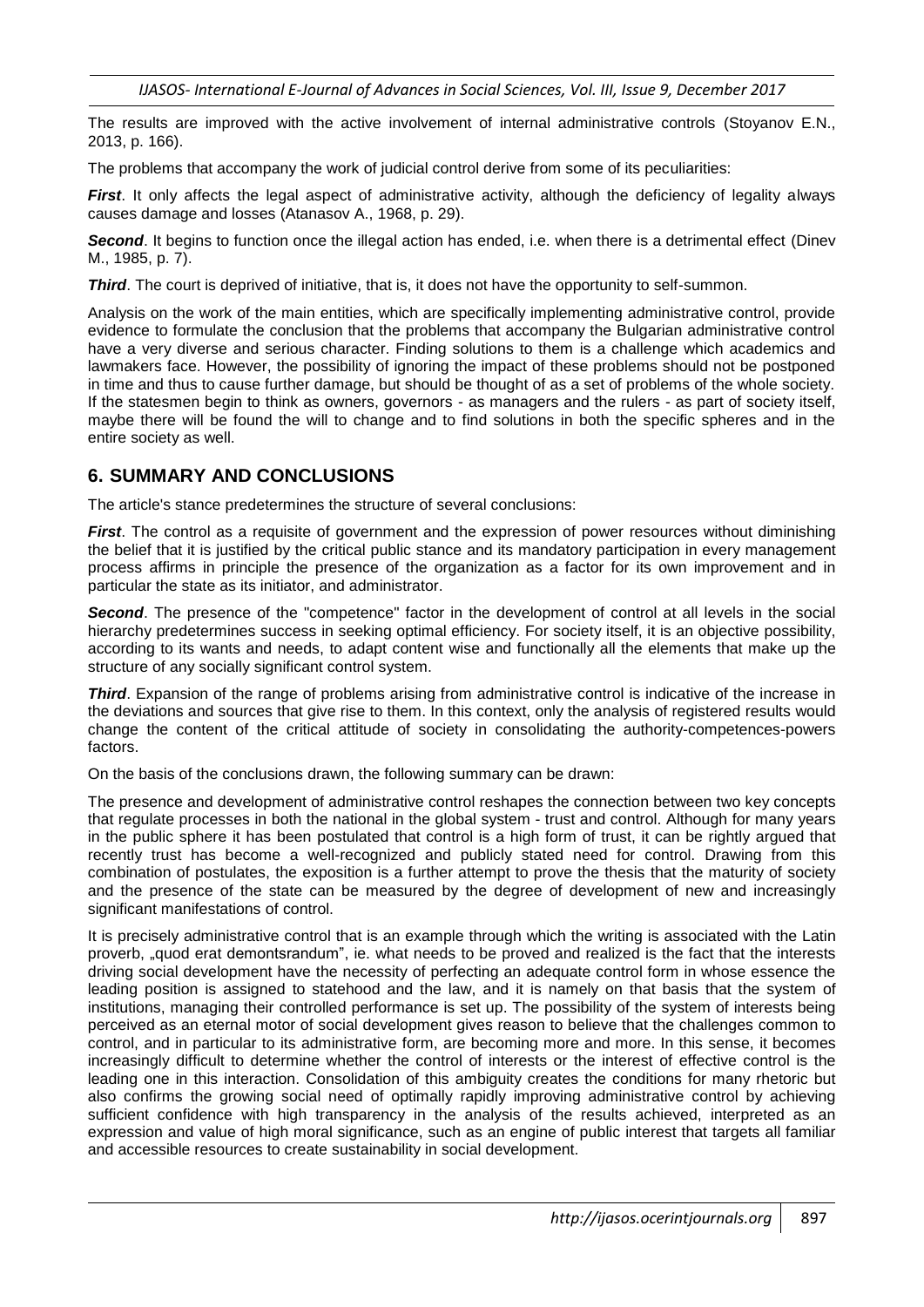The results are improved with the active involvement of internal administrative controls (Stoyanov E.N., 2013, p. 166).

The problems that accompany the work of judicial control derive from some of its peculiarities:

*First*. It only affects the legal aspect of administrative activity, although the deficiency of legality always causes damage and losses (Atanasov A., 1968, p. 29).

*Second*. It begins to function once the illegal action has ended, i.e. when there is a detrimental effect (Dinev M., 1985, p. 7).

*Third*. The court is deprived of initiative, that is, it does not have the opportunity to self-summon.

Analysis on the work of the main entities, which are specifically implementing administrative control, provide evidence to formulate the conclusion that the problems that accompany the Bulgarian administrative control have a very diverse and serious character. Finding solutions to them is a challenge which academics and lawmakers face. However, the possibility of ignoring the impact of these problems should not be postponed in time and thus to cause further damage, but should be thought of as a set of problems of the whole society. If the statesmen begin to think as owners, governors - as managers and the rulers - as part of society itself, maybe there will be found the will to change and to find solutions in both the specific spheres and in the entire society as well.

#### **6. SUMMARY AND CONCLUSIONS**

The article's stance predetermines the structure of several conclusions:

*First*. The control as a requisite of government and the expression of power resources without diminishing the belief that it is justified by the critical public stance and its mandatory participation in every management process affirms in principle the presence of the organization as a factor for its own improvement and in particular the state as its initiator, and administrator.

**Second**. The presence of the "competence" factor in the development of control at all levels in the social hierarchy predetermines success in seeking optimal efficiency. For society itself, it is an objective possibility, according to its wants and needs, to adapt content wise and functionally all the elements that make up the structure of any socially significant control system.

**Third**. Expansion of the range of problems arising from administrative control is indicative of the increase in the deviations and sources that give rise to them. In this context, only the analysis of registered results would change the content of the critical attitude of society in consolidating the authority-competences-powers factors.

On the basis of the conclusions drawn, the following summary can be drawn:

The presence and development of administrative control reshapes the connection between two key concepts that regulate processes in both the national in the global system - trust and control. Although for many years in the public sphere it has been postulated that control is a high form of trust, it can be rightly argued that recently trust has become a well-recognized and publicly stated need for control. Drawing from this combination of postulates, the exposition is a further attempt to prove the thesis that the maturity of society and the presence of the state can be measured by the degree of development of new and increasingly significant manifestations of control.

It is precisely administrative control that is an example through which the writing is associated with the Latin proverb, "quod erat demontsrandum", ie. what needs to be proved and realized is the fact that the interests driving social development have the necessity of perfecting an adequate control form in whose essence the leading position is assigned to statehood and the law, and it is namely on that basis that the system of institutions, managing their controlled performance is set up. The possibility of the system of interests being perceived as an eternal motor of social development gives reason to believe that the challenges common to control, and in particular to its administrative form, are becoming more and more. In this sense, it becomes increasingly difficult to determine whether the control of interests or the interest of effective control is the leading one in this interaction. Consolidation of this ambiguity creates the conditions for many rhetoric but also confirms the growing social need of optimally rapidly improving administrative control by achieving sufficient confidence with high transparency in the analysis of the results achieved, interpreted as an expression and value of high moral significance, such as an engine of public interest that targets all familiar and accessible resources to create sustainability in social development.